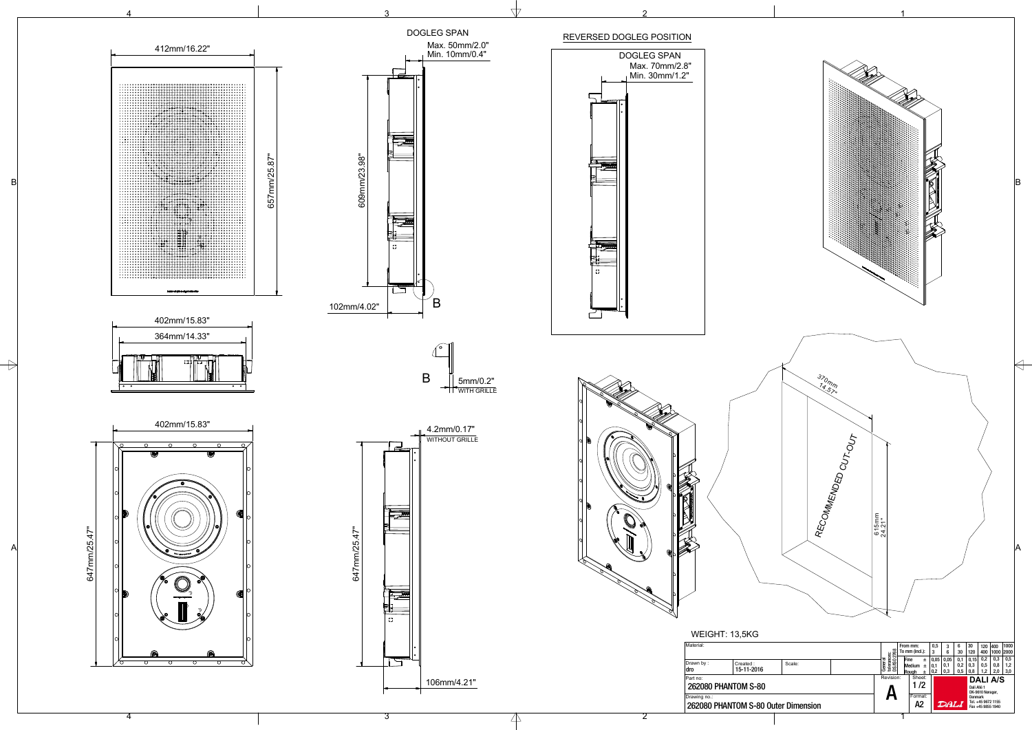1

1



3

 $\mathbb{A}$ 

4

A2 Format: 1 /2

DALI

A

Sheet:

Revision:

262080 PHANTOM S-80

Drawing no.:

262080 PHANTOM S-80 Outer Dimension



**DALI A/S** Dali Allé 1<br>DK-9610 Nørager, Denmark Tel. +45 9672 1155 Fax +45 9855 1940



Part no:

## REVERSED DOGLEG POSITION